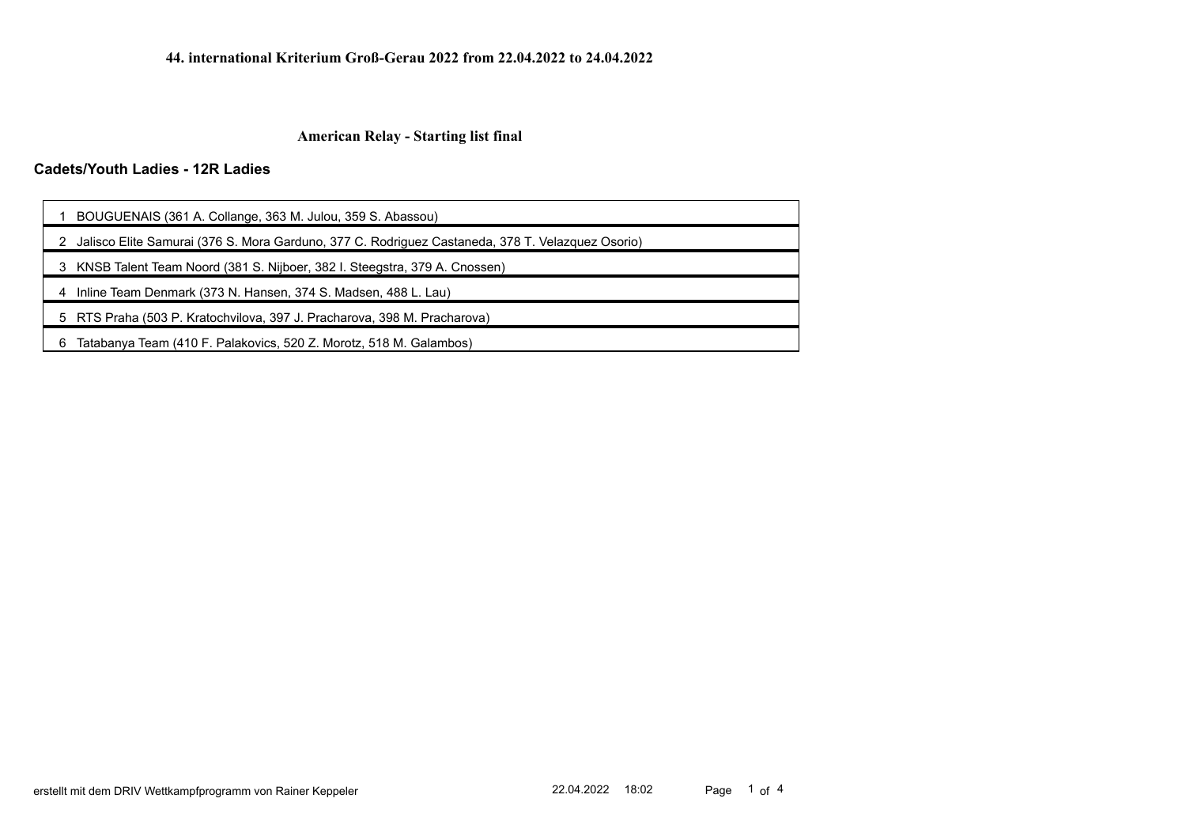# **Cadets/Youth Ladies - 12R Ladies**

| 1 BOUGUENAIS (361 A. Collange, 363 M. Julou, 359 S. Abassou) |  |  |  |  |
|--------------------------------------------------------------|--|--|--|--|
|                                                              |  |  |  |  |

2 Jalisco Elite Samurai (376 S. Mora Garduno, 377 C. Rodriguez Castaneda, 378 T. Velazquez Osorio)

3 KNSB Talent Team Noord (381 S. Nijboer, 382 I. Steegstra, 379 A. Cnossen)

4 Inline Team Denmark (373 N. Hansen, 374 S. Madsen, 488 L. Lau)

5 RTS Praha (503 P. Kratochvilova, 397 J. Pracharova, 398 M. Pracharova)

6 Tatabanya Team (410 F. Palakovics, 520 Z. Morotz, 518 M. Galambos)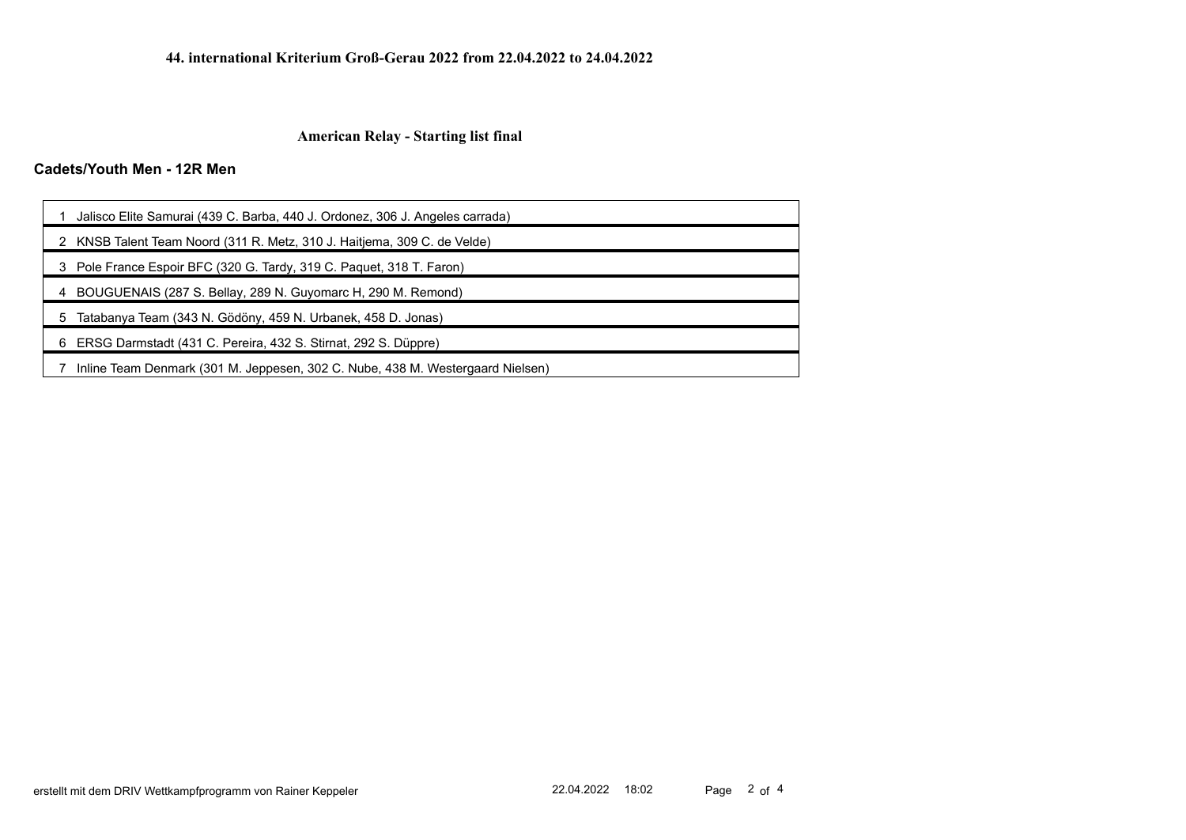# **Cadets/Youth Men - 12R Men**

| Jalisco Elite Samurai (439 C. Barba, 440 J. Ordonez, 306 J. Angeles carrada)   |  |  |  |  |
|--------------------------------------------------------------------------------|--|--|--|--|
| KNSB Talent Team Noord (311 R. Metz, 310 J. Haitjema, 309 C. de Velde)         |  |  |  |  |
| Pole France Espoir BFC (320 G. Tardy, 319 C. Paquet, 318 T. Faron)<br>3        |  |  |  |  |
| BOUGUENAIS (287 S. Bellay, 289 N. Guyomarc H, 290 M. Remond)                   |  |  |  |  |
| Tatabanya Team (343 N. Gödöny, 459 N. Urbanek, 458 D. Jonas)                   |  |  |  |  |
| ERSG Darmstadt (431 C. Pereira, 432 S. Stirnat, 292 S. Düppre)<br>6            |  |  |  |  |
| Inline Team Denmark (301 M. Jeppesen, 302 C. Nube, 438 M. Westergaard Nielsen) |  |  |  |  |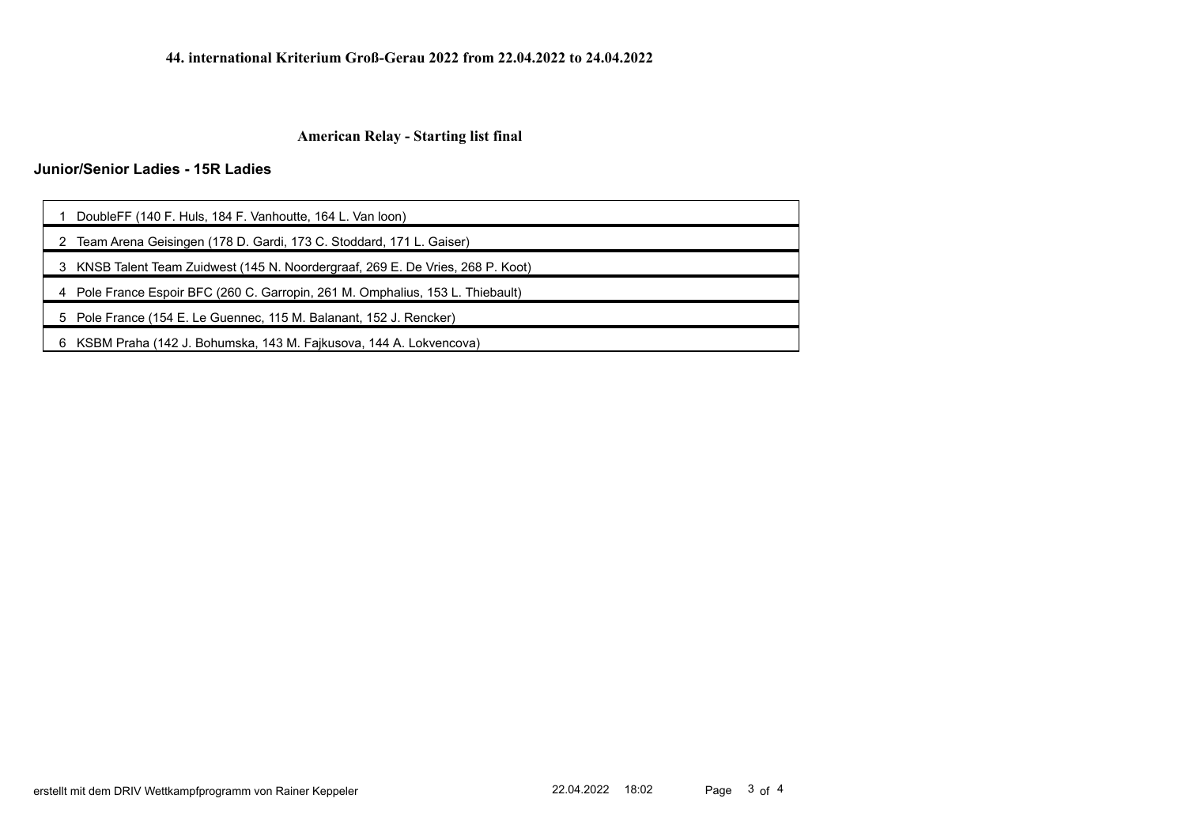# **Junior/Senior Ladies - 15R Ladies**

| DoubleFF (140 F. Huls, 184 F. Vanhoutte, 164 L. Van loon)                       |  |  |  |  |
|---------------------------------------------------------------------------------|--|--|--|--|
| 2 Team Arena Geisingen (178 D. Gardi, 173 C. Stoddard, 171 L. Gaiser)           |  |  |  |  |
| 3 KNSB Talent Team Zuidwest (145 N. Noordergraaf, 269 E. De Vries, 268 P. Koot) |  |  |  |  |
| 4 Pole France Espoir BFC (260 C. Garropin, 261 M. Omphalius, 153 L. Thiebault)  |  |  |  |  |
| 5 Pole France (154 E. Le Guennec, 115 M. Balanant, 152 J. Rencker)              |  |  |  |  |
|                                                                                 |  |  |  |  |

6 KSBM Praha (142 J. Bohumska, 143 M. Fajkusova, 144 A. Lokvencova)